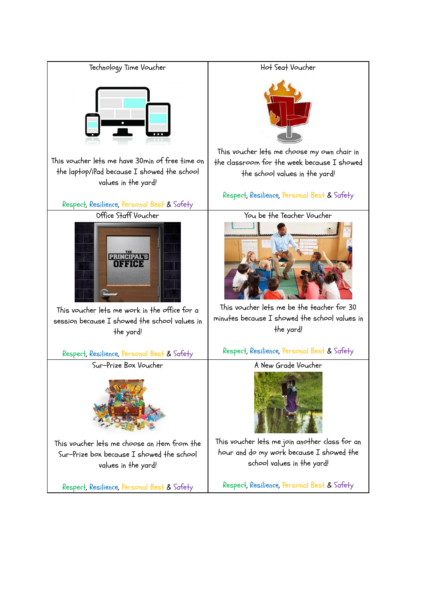